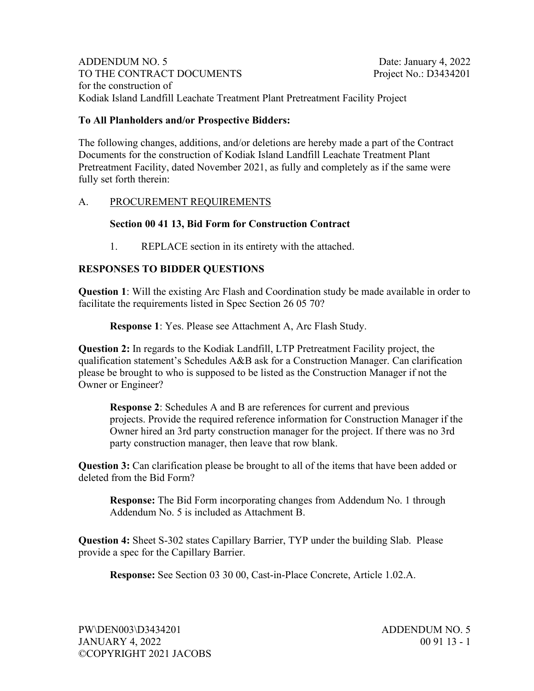ADDENDUM NO. 5 Date: January 4, 2022 TO THE CONTRACT DOCUMENTS Project No.: D3434201 for the construction of Kodiak Island Landfill Leachate Treatment Plant Pretreatment Facility Project

# **To All Planholders and/or Prospective Bidders:**

The following changes, additions, and/or deletions are hereby made a part of the Contract Documents for the construction of Kodiak Island Landfill Leachate Treatment Plant Pretreatment Facility, dated November 2021, as fully and completely as if the same were fully set forth therein:

# A. PROCUREMENT REQUIREMENTS

### **Section 00 41 13, Bid Form for Construction Contract**

1. REPLACE section in its entirety with the attached.

# **RESPONSES TO BIDDER QUESTIONS**

**Question 1**: Will the existing Arc Flash and Coordination study be made available in order to facilitate the requirements listed in Spec Section 26 05 70?

**Response 1**: Yes. Please see Attachment A, Arc Flash Study.

**Question 2:** In regards to the Kodiak Landfill, LTP Pretreatment Facility project, the qualification statement's Schedules A&B ask for a Construction Manager. Can clarification please be brought to who is supposed to be listed as the Construction Manager if not the Owner or Engineer?

**Response 2**: Schedules A and B are references for current and previous projects. Provide the required reference information for Construction Manager if the Owner hired an 3rd party construction manager for the project. If there was no 3rd party construction manager, then leave that row blank.

**Question 3:** Can clarification please be brought to all of the items that have been added or deleted from the Bid Form?

**Response:** The Bid Form incorporating changes from Addendum No. 1 through Addendum No. 5 is included as Attachment B.

**Question 4:** Sheet S-302 states Capillary Barrier, TYP under the building Slab. Please provide a spec for the Capillary Barrier.

**Response:** See Section 03 30 00, Cast-in-Place Concrete, Article 1.02.A.